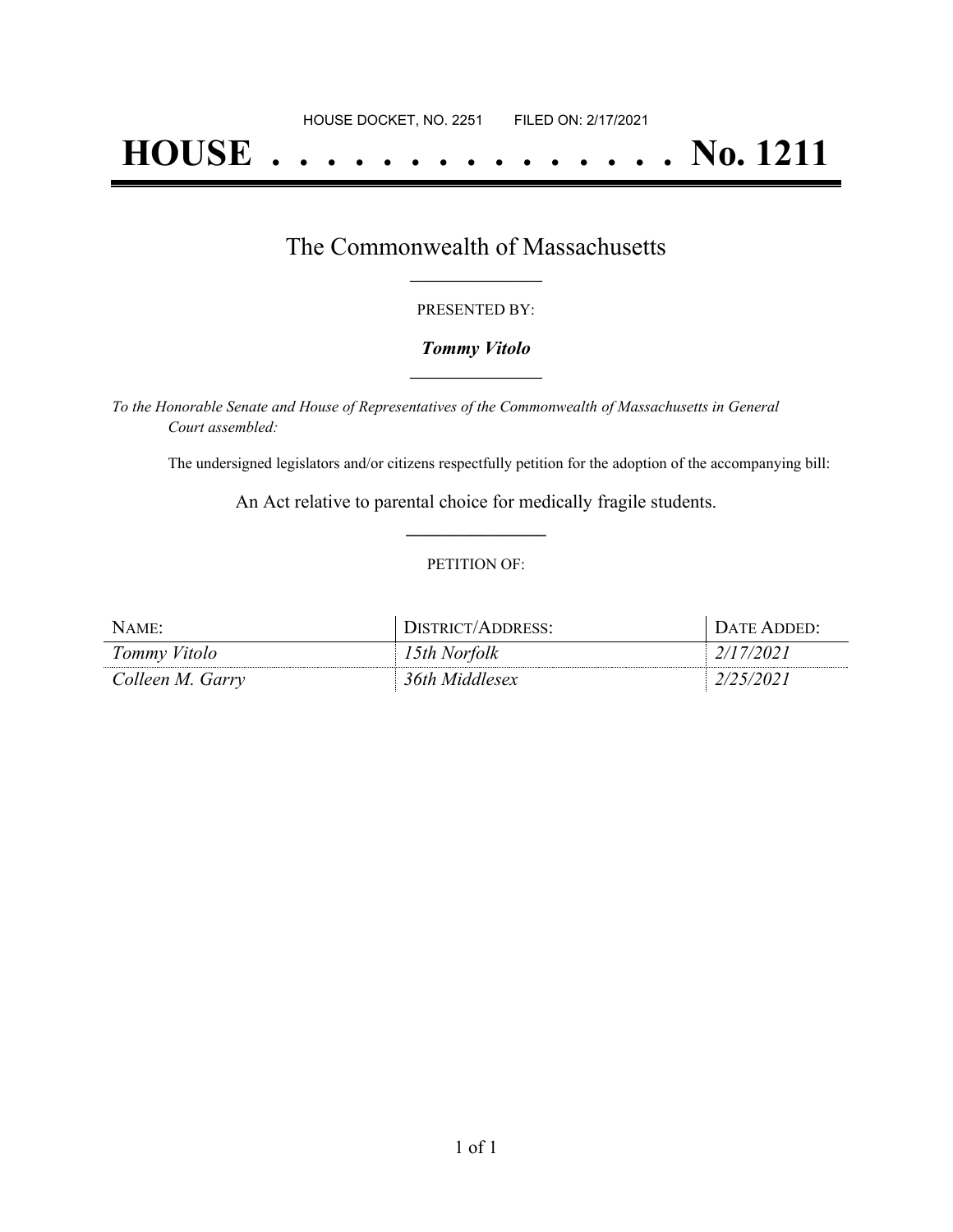# **HOUSE . . . . . . . . . . . . . . . No. 1211**

### The Commonwealth of Massachusetts **\_\_\_\_\_\_\_\_\_\_\_\_\_\_\_\_\_**

#### PRESENTED BY:

#### *Tommy Vitolo* **\_\_\_\_\_\_\_\_\_\_\_\_\_\_\_\_\_**

*To the Honorable Senate and House of Representatives of the Commonwealth of Massachusetts in General Court assembled:*

The undersigned legislators and/or citizens respectfully petition for the adoption of the accompanying bill:

An Act relative to parental choice for medically fragile students. **\_\_\_\_\_\_\_\_\_\_\_\_\_\_\_**

#### PETITION OF:

| NAME:            | DISTRICT/ADDRESS: | Date Added <sup>.</sup> |
|------------------|-------------------|-------------------------|
| Tommy Vitolo     | l 5th Norfolk     | 2/17/2021               |
| Colleen M. Garry | 36th Middlesex    |                         |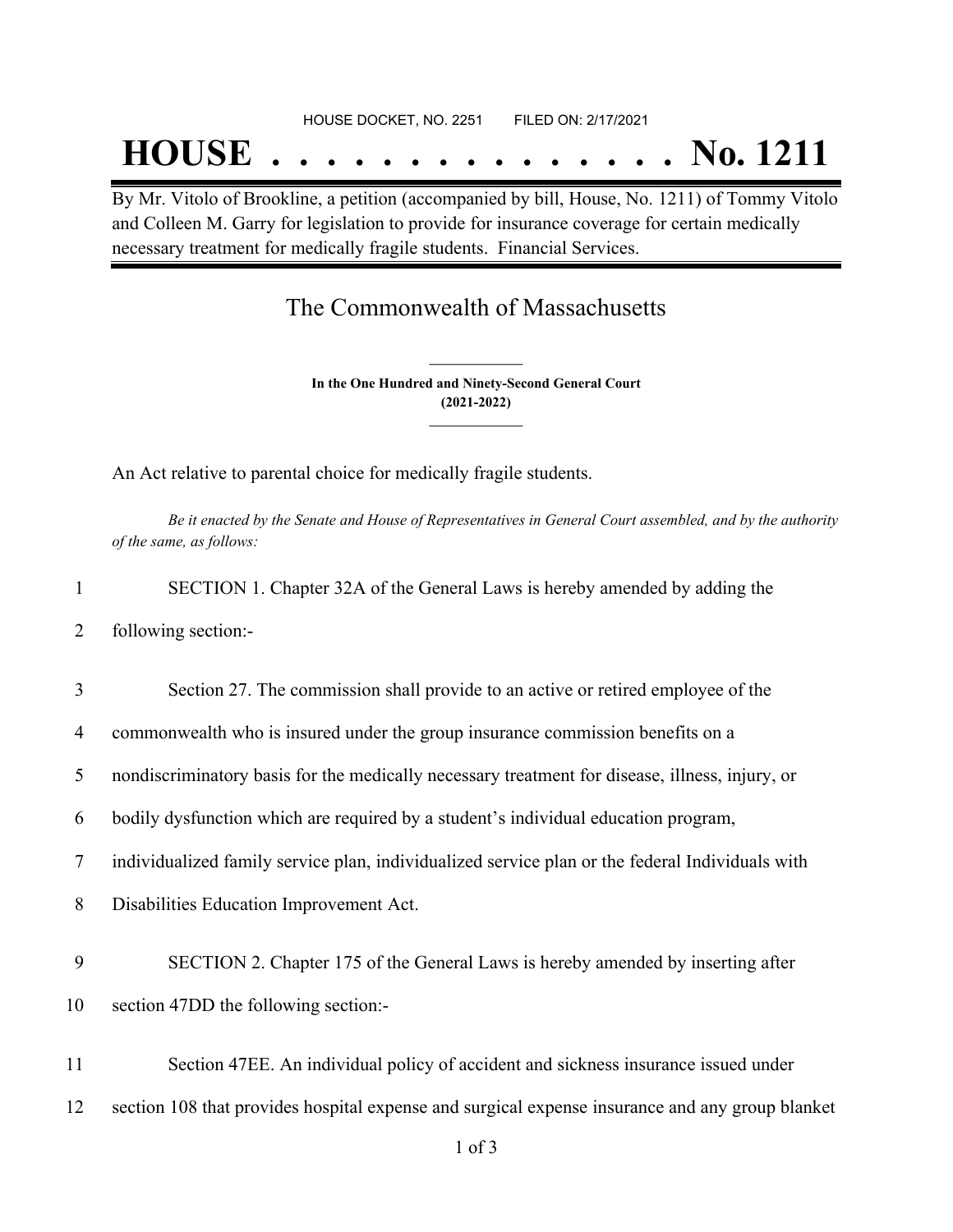## **HOUSE . . . . . . . . . . . . . . . No. 1211**

By Mr. Vitolo of Brookline, a petition (accompanied by bill, House, No. 1211) of Tommy Vitolo and Colleen M. Garry for legislation to provide for insurance coverage for certain medically necessary treatment for medically fragile students. Financial Services.

## The Commonwealth of Massachusetts

**In the One Hundred and Ninety-Second General Court (2021-2022) \_\_\_\_\_\_\_\_\_\_\_\_\_\_\_**

**\_\_\_\_\_\_\_\_\_\_\_\_\_\_\_**

An Act relative to parental choice for medically fragile students.

Be it enacted by the Senate and House of Representatives in General Court assembled, and by the authority *of the same, as follows:*

|  |  | SECTION 1. Chapter 32A of the General Laws is hereby amended by adding the |  |
|--|--|----------------------------------------------------------------------------|--|
|  |  |                                                                            |  |

2 following section:-

3 Section 27. The commission shall provide to an active or retired employee of the

4 commonwealth who is insured under the group insurance commission benefits on a

5 nondiscriminatory basis for the medically necessary treatment for disease, illness, injury, or

6 bodily dysfunction which are required by a student's individual education program,

7 individualized family service plan, individualized service plan or the federal Individuals with

8 Disabilities Education Improvement Act.

- 9 SECTION 2. Chapter 175 of the General Laws is hereby amended by inserting after
- 10 section 47DD the following section:-
- 11 Section 47EE. An individual policy of accident and sickness insurance issued under
- 12 section 108 that provides hospital expense and surgical expense insurance and any group blanket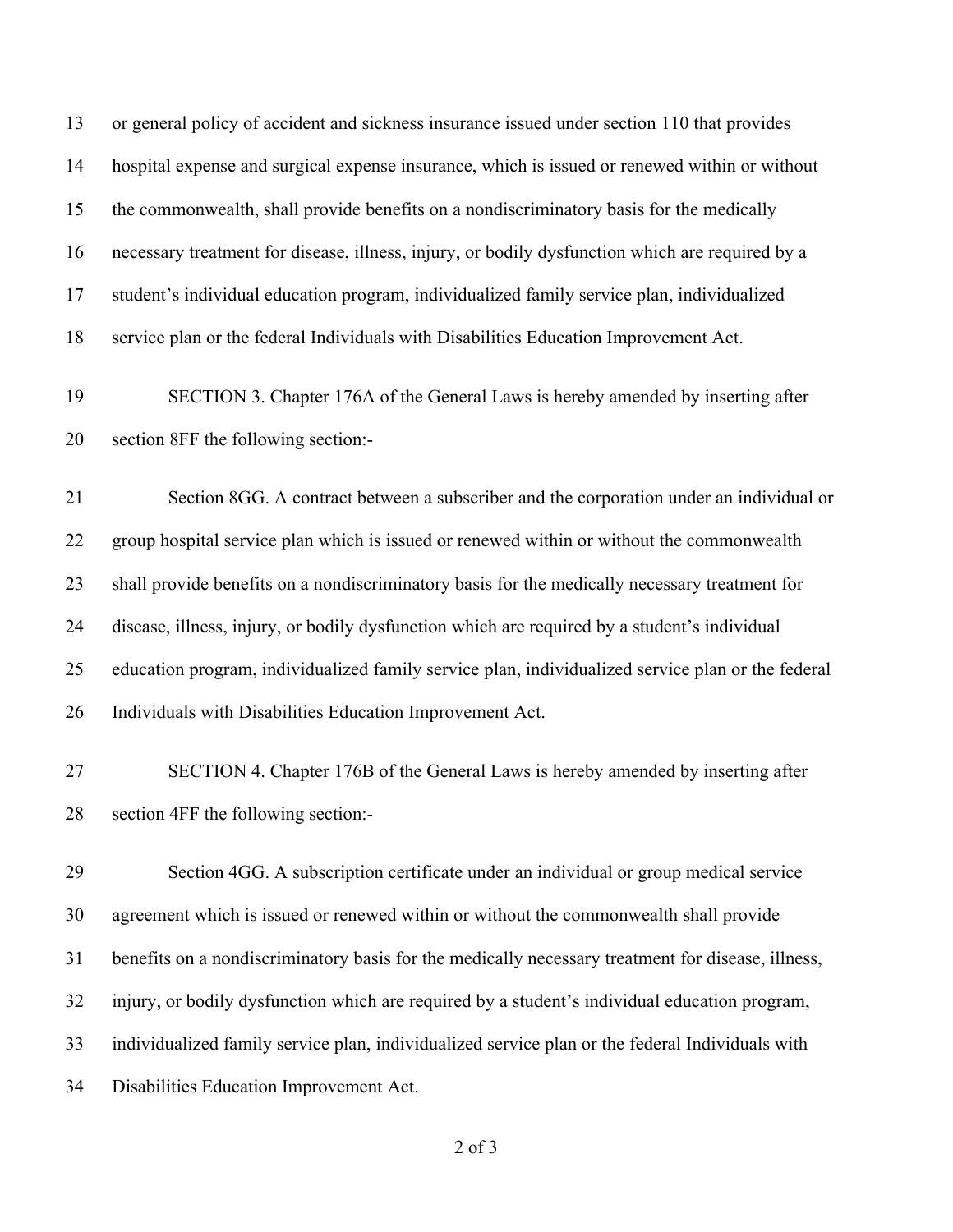or general policy of accident and sickness insurance issued under section 110 that provides hospital expense and surgical expense insurance, which is issued or renewed within or without the commonwealth, shall provide benefits on a nondiscriminatory basis for the medically necessary treatment for disease, illness, injury, or bodily dysfunction which are required by a student's individual education program, individualized family service plan, individualized service plan or the federal Individuals with Disabilities Education Improvement Act. SECTION 3. Chapter 176A of the General Laws is hereby amended by inserting after section 8FF the following section:-

 Section 8GG. A contract between a subscriber and the corporation under an individual or group hospital service plan which is issued or renewed within or without the commonwealth shall provide benefits on a nondiscriminatory basis for the medically necessary treatment for disease, illness, injury, or bodily dysfunction which are required by a student's individual education program, individualized family service plan, individualized service plan or the federal Individuals with Disabilities Education Improvement Act.

 SECTION 4. Chapter 176B of the General Laws is hereby amended by inserting after section 4FF the following section:-

 Section 4GG. A subscription certificate under an individual or group medical service agreement which is issued or renewed within or without the commonwealth shall provide benefits on a nondiscriminatory basis for the medically necessary treatment for disease, illness, injury, or bodily dysfunction which are required by a student's individual education program, individualized family service plan, individualized service plan or the federal Individuals with Disabilities Education Improvement Act.

of 3